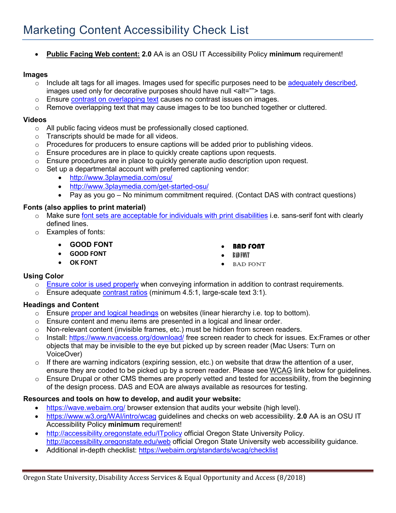• **Public Facing Web content: 2.0** AA is an OSU IT Accessibility Policy **minimum** requirement!

### **Images**

- $\circ$  Include alt tags for all images. Images used for specific purposes need to be [adequately described,](http://accessibility.oregonstate.edu/alttext) images used only for decorative purposes should have null <alt=""> tags.
- o Ensure [contrast on overlapping text](https://www.w3.org/TR/2016/NOTE-WCAG20-TECHS-20161007/F83) causes no contrast issues on images.
- $\circ$  Remove overlapping text that may cause images to be too bunched together or cluttered.

### **Videos**

- o All public facing videos must be professionally closed captioned.
- o Transcripts should be made for all videos.
- $\circ$  Procedures for producers to ensure captions will be added prior to publishing videos.
- o Ensure procedures are in place to quickly create captions upon requests.
- $\circ$  Ensure procedures are in place to quickly generate audio description upon request.
- $\circ$  Set up a departmental account with preferred captioning vendor:
	- <http://www.3playmedia.com/osu/>
	- <http://www.3playmedia.com/get-started-osu/>
	- Pay as you go No minimum commitment required. (Contact DAS with contract questions)

### **Fonts (also applies to print material)**

- o Make sure [font sets are acceptable for individuals with print disabilities](https://webaim.org/techniques/fonts/) i.e. sans-serif font with clearly defined lines.
- o Examples of fonts:
	- **GOOD FONT**
	- **GOOD FONT**
	- **OK FONT**
- BAD FONT
- BAD FONT
- **BAD FONT**

### **Using Color**

- o [Ensure color is used properly](http://accessibility.oregonstate.edu/color) when conveying information in addition to contrast requirements.
- $\circ$  Ensure adequate [contrast ratios](https://www.w3.org/TR/WCAG20/#visual-audio-contrast) (minimum 4.5:1, large-scale text 3:1).

### **Headings and Content**

- o Ensure [proper and logical headings](http://accessibility.oregonstate.edu/headings) on websites (linear hierarchy i.e. top to bottom).
- $\circ$  Ensure content and menu items are presented in a logical and linear order.
- $\circ$  Non-relevant content (invisible frames, etc.) must be hidden from screen readers.
- o Install:<https://www.nvaccess.org/download/> free screen reader to check for issues. Ex:Frames or other objects that may be invisible to the eye but picked up by screen reader (Mac Users: Turn on VoiceOver)
- $\circ$  If there are warning indicators (expiring session, etc.) on website that draw the attention of a user, ensure they are coded to be picked up by a screen reader. Please see WCAG link below for guidelines.
- $\circ$  Ensure Drupal or other CMS themes are properly vetted and tested for accessibility, from the beginning of the design process. DAS and EOA are always available as resources for testing.

### **Resources and tools on how to develop, and audit your website:**

- <https://wave.webaim.org/> browser extension that audits your website (high level).
- <https://www.w3.org/WAI/intro/wcag> guidelines and checks on web accessibility. **2.0** AA is an OSU IT Accessibility Policy **minimum** requirement!
- <http://accessibility.oregonstate.edu/ITpolicy> official Oregon State University Policy. <http://accessibility.oregonstate.edu/web> official Oregon State University web accessibility guidance.
- Additional in-depth checklist:<https://webaim.org/standards/wcag/checklist>